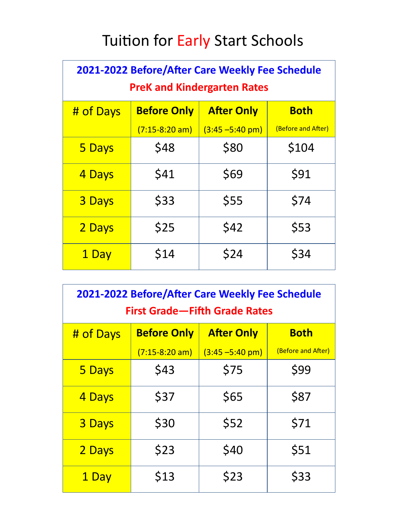## Tuition for Early Start Schools

## **2021-2022 Before/After Care Weekly Fee Schedule PreK and Kindergarten Rates**

| # of Days     | <b>Before Only</b> | <b>After Only</b> | <b>Both</b>        |
|---------------|--------------------|-------------------|--------------------|
|               | (7:15-8:20 am)     | (3:45 –5:40 pm)   | (Before and After) |
| 5 Days        | \$48               | \$80              | \$104              |
| 4 Days        | \$41               | \$69              | \$91               |
| <b>3 Days</b> | \$33               | \$55              | \$74               |
| 2 Days        | \$25               | \$42              | \$53               |
| 1 Day         | \$14               | \$24              | \$34               |

| 2021-2022 Before/After Care Weekly Fee Schedule<br><b>First Grade-Fifth Grade Rates</b> |                    |                     |                    |  |  |
|-----------------------------------------------------------------------------------------|--------------------|---------------------|--------------------|--|--|
| # of Days                                                                               | <b>Before Only</b> | <b>After Only</b>   | <b>Both</b>        |  |  |
|                                                                                         | $(7:15-8:20~am)$   | $(3:45 - 5:40)$ pm) | (Before and After) |  |  |
| 5 Days                                                                                  | \$43               | \$75                | \$99               |  |  |
| 4 Days                                                                                  | \$37               | \$65                | \$87               |  |  |
| <b>3 Days</b>                                                                           | \$30               | \$52                | \$71               |  |  |
| 2 Days                                                                                  | \$23               | \$40                | \$51               |  |  |
| 1 Day                                                                                   | \$13               | \$23                | \$33               |  |  |